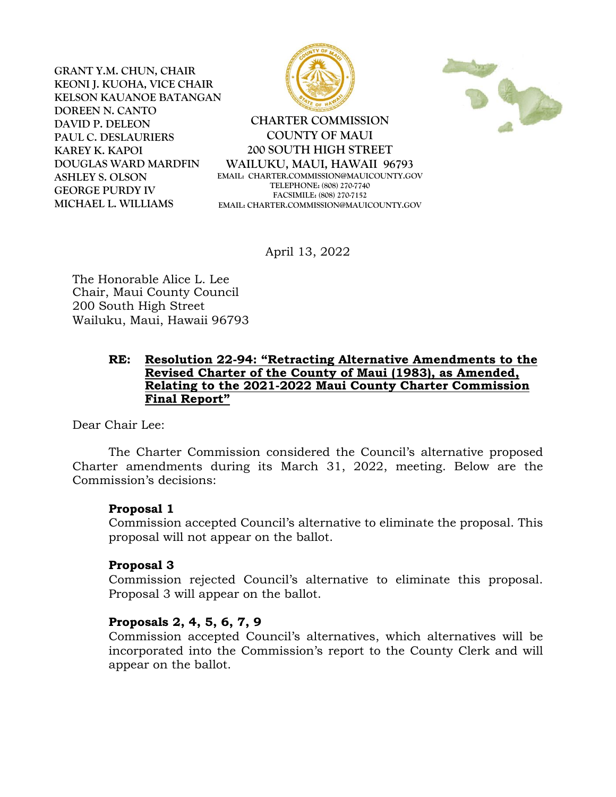**GRANT Y.M. CHUN, CHAIR KEONI J. KUOHA, VICE CHAIR KELSON KAUANOE BATANGAN DOREEN N. CANTO DAVID P. DELEON PAUL C. DESLAURIERS KAREY K. KAPOI DOUGLAS WARD MARDFIN ASHLEY S. OLSON GEORGE PURDY IV MICHAEL L. WILLIAMS**





**CHARTER COMMISSION COUNTY OF MAUI 200 SOUTH HIGH STREET WAILUKU, MAUI, HAWAII 96793 EMAIL: CHARTER.COMMISSION@MAUICOUNTY.GOV TELEPHONE: (808) 270-7740 FACSIMILE: (808) 270-7152 EMAIL: CHARTER.COMMISSION@MAUICOUNTY.GOV**

April 13, 2022

The Honorable Alice L. Lee Chair, Maui County Council 200 South High Street Wailuku, Maui, Hawaii 96793

### **RE: Resolution 22-94: "Retracting Alternative Amendments to the Revised Charter of the County of Maui (1983), as Amended, Relating to the 2021-2022 Maui County Charter Commission Final Report"**

Dear Chair Lee:

The Charter Commission considered the Council's alternative proposed Charter amendments during its March 31, 2022, meeting. Below are the Commission's decisions:

# **Proposal 1**

Commission accepted Council's alternative to eliminate the proposal. This proposal will not appear on the ballot.

# **Proposal 3**

Commission rejected Council's alternative to eliminate this proposal. Proposal 3 will appear on the ballot.

# **Proposals 2, 4, 5, 6, 7, 9**

Commission accepted Council's alternatives, which alternatives will be incorporated into the Commission's report to the County Clerk and will appear on the ballot.